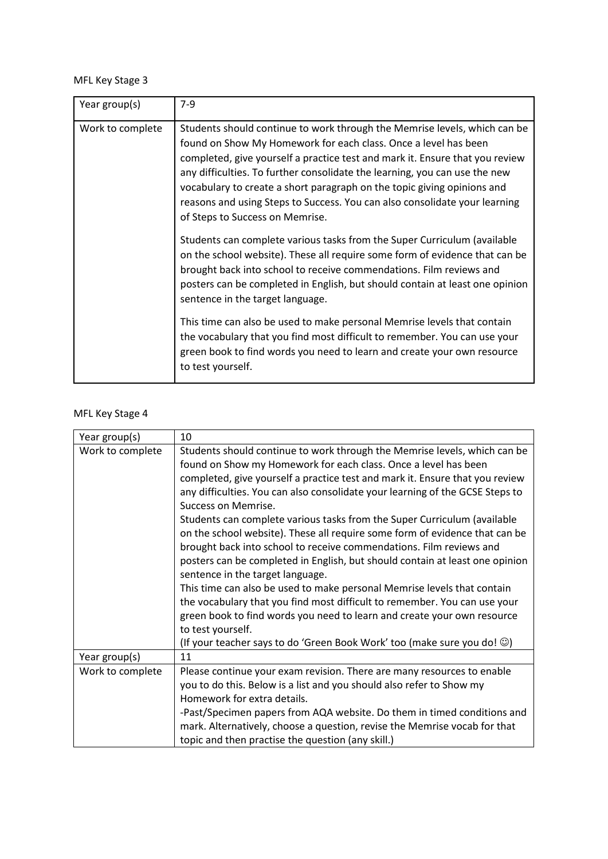## MFL Key Stage 3

| Year group(s)    | $7-9$                                                                                                                                                                                                                                                                                                                                                                                                                                                                                                                                                                                                                                                                                                                                                                                                                                                        |
|------------------|--------------------------------------------------------------------------------------------------------------------------------------------------------------------------------------------------------------------------------------------------------------------------------------------------------------------------------------------------------------------------------------------------------------------------------------------------------------------------------------------------------------------------------------------------------------------------------------------------------------------------------------------------------------------------------------------------------------------------------------------------------------------------------------------------------------------------------------------------------------|
| Work to complete | Students should continue to work through the Memrise levels, which can be<br>found on Show My Homework for each class. Once a level has been<br>completed, give yourself a practice test and mark it. Ensure that you review<br>any difficulties. To further consolidate the learning, you can use the new<br>vocabulary to create a short paragraph on the topic giving opinions and<br>reasons and using Steps to Success. You can also consolidate your learning<br>of Steps to Success on Memrise.<br>Students can complete various tasks from the Super Curriculum (available<br>on the school website). These all require some form of evidence that can be<br>brought back into school to receive commendations. Film reviews and<br>posters can be completed in English, but should contain at least one opinion<br>sentence in the target language. |
|                  | This time can also be used to make personal Memrise levels that contain<br>the vocabulary that you find most difficult to remember. You can use your<br>green book to find words you need to learn and create your own resource<br>to test yourself.                                                                                                                                                                                                                                                                                                                                                                                                                                                                                                                                                                                                         |

## MFL Key Stage 4

| Year group(s)    | 10                                                                                    |
|------------------|---------------------------------------------------------------------------------------|
| Work to complete | Students should continue to work through the Memrise levels, which can be             |
|                  | found on Show my Homework for each class. Once a level has been                       |
|                  | completed, give yourself a practice test and mark it. Ensure that you review          |
|                  | any difficulties. You can also consolidate your learning of the GCSE Steps to         |
|                  | Success on Memrise.                                                                   |
|                  | Students can complete various tasks from the Super Curriculum (available              |
|                  | on the school website). These all require some form of evidence that can be           |
|                  | brought back into school to receive commendations. Film reviews and                   |
|                  | posters can be completed in English, but should contain at least one opinion          |
|                  | sentence in the target language.                                                      |
|                  | This time can also be used to make personal Memrise levels that contain               |
|                  | the vocabulary that you find most difficult to remember. You can use your             |
|                  | green book to find words you need to learn and create your own resource               |
|                  | to test yourself.                                                                     |
|                  | (If your teacher says to do 'Green Book Work' too (make sure you do! $\circledcirc$ ) |
| Year group(s)    | 11                                                                                    |
| Work to complete | Please continue your exam revision. There are many resources to enable                |
|                  | you to do this. Below is a list and you should also refer to Show my                  |
|                  | Homework for extra details.                                                           |
|                  | -Past/Specimen papers from AQA website. Do them in timed conditions and               |
|                  | mark. Alternatively, choose a question, revise the Memrise vocab for that             |
|                  | topic and then practise the question (any skill.)                                     |